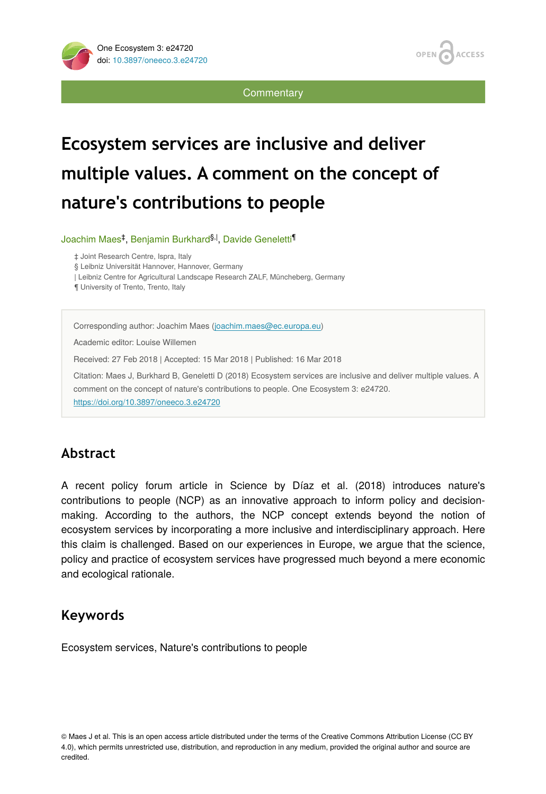**ACCESS OPEN** 

**Commentary** 

# **Ecosystem services are inclusive and deliver multiple values. A comment on the concept of nature's contributions to people**

Joachim Maes<sup>‡</sup>, Benjamin Burkhard<sup>§, |</sup>, Davide Geneletti<sup>¶</sup>

‡ Joint Research Centre, Ispra, Italy

§ Leibniz Universität Hannover, Hannover, Germany

| Leibniz Centre for Agricultural Landscape Research ZALF, Müncheberg, Germany

¶ University of Trento, Trento, Italy

Corresponding author: Joachim Maes ([joachim.maes@ec.europa.eu\)](mailto:joachim.maes@ec.europa.eu)

Academic editor: Louise Willemen

Received: 27 Feb 2018 | Accepted: 15 Mar 2018 | Published: 16 Mar 2018

Citation: Maes J, Burkhard B, Geneletti D (2018) Ecosystem services are inclusive and deliver multiple values. A comment on the concept of nature's contributions to people. One Ecosystem 3: e24720. <https://doi.org/10.3897/oneeco.3.e24720>

## **Abstract**

A recent policy forum article in Science by Díaz et al. (2018) introduces nature's contributions to people (NCP) as an innovative approach to inform policy and decisionmaking. According to the authors, the NCP concept extends beyond the notion of ecosystem services by incorporating a more inclusive and interdisciplinary approach. Here this claim is challenged. Based on our experiences in Europe, we argue that the science, policy and practice of ecosystem services have progressed much beyond a mere economic and ecological rationale.

# **Keywords**

Ecosystem services, Nature's contributions to people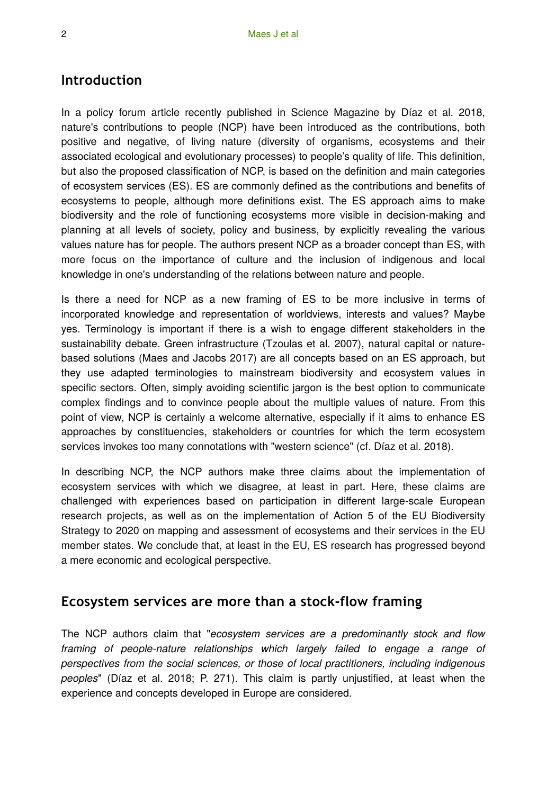#### **Introduction**

In a policy forum article recently published in Science Magazine by Díaz et al. 2018, nature's contributions to people (NCP) have been introduced as the contributions, both positive and negative, of living nature (diversity of organisms, ecosystems and their associated ecological and evolutionary processes) to people's quality of life. This definition, but also the proposed classification of NCP, is based on the definition and main categories of ecosystem services (ES). ES are commonly defined as the contributions and benefits of ecosystems to people, although more definitions exist. The ES approach aims to make biodiversity and the role of functioning ecosystems more visible in decision-making and planning at all levels of society, policy and business, by explicitly revealing the various values nature has for people. The authors present NCP as a broader concept than ES, with more focus on the importance of culture and the inclusion of indigenous and local knowledge in one's understanding of the relations between nature and people.

Is there a need for NCP as a new framing of ES to be more inclusive in terms of incorporated knowledge and representation of worldviews, interests and values? Maybe yes. Terminology is important if there is a wish to engage different stakeholders in the sustainability debate. Green infrastructure (Tzoulas et al. 2007), natural capital or naturebased solutions (Maes and Jacobs 2017) are all concepts based on an ES approach, but they use adapted terminologies to mainstream biodiversity and ecosystem values in specific sectors. Often, simply avoiding scientific jargon is the best option to communicate complex findings and to convince people about the multiple values of nature. From this point of view, NCP is certainly a welcome alternative, especially if it aims to enhance ES approaches by constituencies, stakeholders or countries for which the term ecosystem services invokes too many connotations with "western science" (cf. Díaz et al. 2018).

In describing NCP, the NCP authors make three claims about the implementation of ecosystem services with which we disagree, at least in part. Here, these claims are challenged with experiences based on participation in different large-scale European research projects, as well as on the implementation of Action 5 of the EU Biodiversity Strategy to 2020 on mapping and assessment of ecosystems and their services in the EU member states. We conclude that, at least in the EU, ES research has progressed beyond a mere economic and ecological perspective.

#### **Ecosystem services are more than a stock-flow framing**

The NCP authors claim that "*ecosystem services are a predominantly stock and flow framing of people-nature relationships which largely failed to engage a range of perspectives from the social sciences, or those of local practitioners, including indigenous peoples*" (Díaz et al. 2018; P. 271). This claim is partly unjustified, at least when the experience and concepts developed in Europe are considered.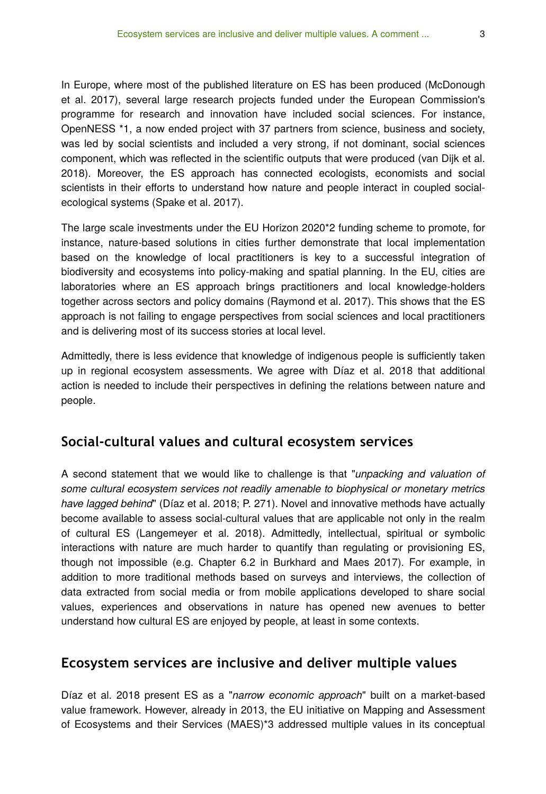In Europe, where most of the published literature on ES has been produced (McDonough et al. 2017), several large research projects funded under the European Commission's programme for research and innovation have included social sciences. For instance, OpenNESS \*1, a now ended project with 37 partners from science, business and society, was led by social scientists and included a very strong, if not dominant, social sciences component, which was reflected in the scientific outputs that were produced (van Dijk et al. 2018). Moreover, the ES approach has connected ecologists, economists and social scientists in their efforts to understand how nature and people interact in coupled socialecological systems (Spake et al. 2017).

The large scale investments under the EU Horizon 2020\*2 funding scheme to promote, for instance, nature-based solutions in cities further demonstrate that local implementation based on the knowledge of local practitioners is key to a successful integration of biodiversity and ecosystems into policy-making and spatial planning. In the EU, cities are laboratories where an ES approach brings practitioners and local knowledge-holders together across sectors and policy domains (Raymond et al. 2017). This shows that the ES approach is not failing to engage perspectives from social sciences and local practitioners and is delivering most of its success stories at local level.

Admittedly, there is less evidence that knowledge of indigenous people is sufficiently taken up in regional ecosystem assessments. We agree with Díaz et al. 2018 that additional action is needed to include their perspectives in defining the relations between nature and people.

#### **Social-cultural values and cultural ecosystem services**

A second statement that we would like to challenge is that "*unpacking and valuation of some cultural ecosystem services not readily amenable to biophysical or monetary metrics have lagged behind*" (Díaz et al. 2018; P. 271). Novel and innovative methods have actually become available to assess social-cultural values that are applicable not only in the realm of cultural ES (Langemeyer et al. 2018). Admittedly, intellectual, spiritual or symbolic interactions with nature are much harder to quantify than regulating or provisioning ES, though not impossible (e.g. Chapter 6.2 in Burkhard and Maes 2017). For example, in addition to more traditional methods based on surveys and interviews, the collection of data extracted from social media or from mobile applications developed to share social values, experiences and observations in nature has opened new avenues to better understand how cultural ES are enjoyed by people, at least in some contexts.

#### **Ecosystem services are inclusive and deliver multiple values**

Díaz et al. 2018 present ES as a "*narrow economic approach*" built on a market-based value framework. However, already in 2013, the EU initiative on Mapping and Assessment of Ecosystems and their Services (MAES)\*3 addressed multiple values in its conceptual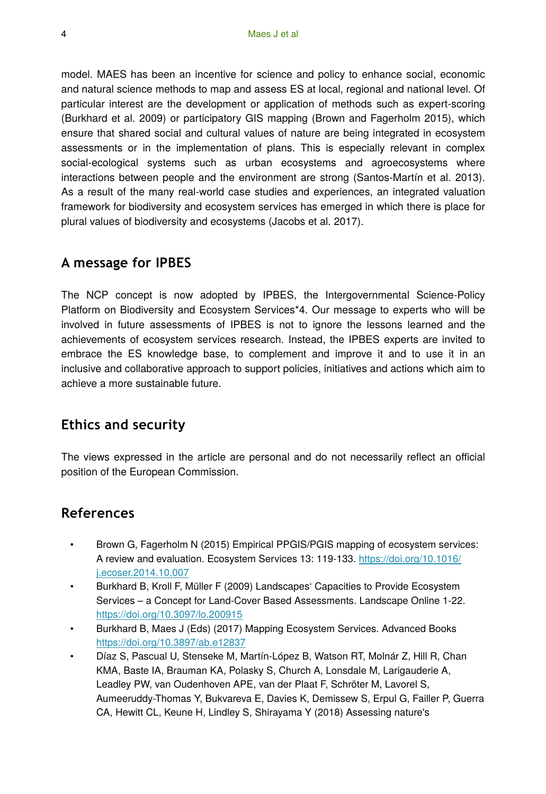model. MAES has been an incentive for science and policy to enhance social, economic and natural science methods to map and assess ES at local, regional and national level. Of particular interest are the development or application of methods such as expert-scoring (Burkhard et al. 2009) or participatory GIS mapping (Brown and Fagerholm 2015), which ensure that shared social and cultural values of nature are being integrated in ecosystem assessments or in the implementation of plans. This is especially relevant in complex social-ecological systems such as urban ecosystems and agroecosystems where interactions between people and the environment are strong (Santos-Martín et al. 2013). As a result of the many real-world case studies and experiences, an integrated valuation framework for biodiversity and ecosystem services has emerged in which there is place for plural values of biodiversity and ecosystems (Jacobs et al. 2017).

#### **A message for IPBES**

The NCP concept is now adopted by IPBES, the Intergovernmental Science-Policy Platform on Biodiversity and Ecosystem Services\*4. Our message to experts who will be involved in future assessments of IPBES is not to ignore the lessons learned and the achievements of ecosystem services research. Instead, the IPBES experts are invited to embrace the ES knowledge base, to complement and improve it and to use it in an inclusive and collaborative approach to support policies, initiatives and actions which aim to achieve a more sustainable future.

## **Ethics and security**

The views expressed in the article are personal and do not necessarily reflect an official position of the European Commission.

#### **References**

- Brown G, Fagerholm N (2015) Empirical PPGIS/PGIS mapping of ecosystem services: A review and evaluation. Ecosystem Services 13: 119-133. [https://doi.org/10.1016/](https://doi.org/10.1016/j.ecoser.2014.10.007) [j.ecoser.2014.10.007](https://doi.org/10.1016/j.ecoser.2014.10.007)
- Burkhard B, Kroll F, Müller F (2009) Landscapes' Capacities to Provide Ecosystem Services – a Concept for Land-Cover Based Assessments. Landscape Online 1‑22. <https://doi.org/10.3097/lo.200915>
- Burkhard B, Maes J (Eds) (2017) Mapping Ecosystem Services. Advanced Books <https://doi.org/10.3897/ab.e12837>
- Díaz S, Pascual U, Stenseke M, Martín-López B, Watson RT, Molnár Z, Hill R, Chan KMA, Baste IA, Brauman KA, Polasky S, Church A, Lonsdale M, Larigauderie A, Leadley PW, van Oudenhoven APE, van der Plaat F, Schröter M, Lavorel S, Aumeeruddy-Thomas Y, Bukvareva E, Davies K, Demissew S, Erpul G, Failler P, Guerra CA, Hewitt CL, Keune H, Lindley S, Shirayama Y (2018) Assessing nature's